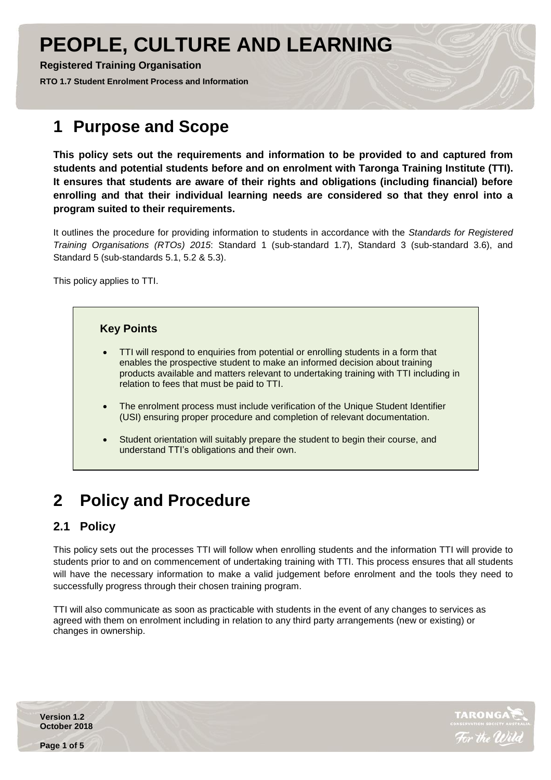# **PEOPLE, CULTURE AND LEARNING**

**Registered Training Organisation** 

**RTO 1.7 Student Enrolment Process and Information** 

## **1 Purpose and Scope**

**This policy sets out the requirements and information to be provided to and captured from students and potential students before and on enrolment with Taronga Training Institute (TTI). It ensures that students are aware of their rights and obligations (including financial) before enrolling and that their individual learning needs are considered so that they enrol into a program suited to their requirements.**

It outlines the procedure for providing information to students in accordance with the *Standards for Registered Training Organisations (RTOs) 2015*: Standard 1 (sub-standard 1.7), Standard 3 (sub-standard 3.6), and Standard 5 (sub-standards 5.1, 5.2 & 5.3).

This policy applies to TTI.

#### **Key Points**

- TTI will respond to enquiries from potential or enrolling students in a form that enables the prospective student to make an informed decision about training products available and matters relevant to undertaking training with TTI including in relation to fees that must be paid to TTI.
- The enrolment process must include verification of the Unique Student Identifier (USI) ensuring proper procedure and completion of relevant documentation.
- Student orientation will suitably prepare the student to begin their course, and understand TTI's obligations and their own.

## **2 Policy and Procedure**

## **2.1 Policy**

This policy sets out the processes TTI will follow when enrolling students and the information TTI will provide to students prior to and on commencement of undertaking training with TTI. This process ensures that all students will have the necessary information to make a valid judgement before enrolment and the tools they need to successfully progress through their chosen training program.

TTI will also communicate as soon as practicable with students in the event of any changes to services as agreed with them on enrolment including in relation to any third party arrangements (new or existing) or changes in ownership.

**Version 1.2 October 2018**



**Page 1 of 5**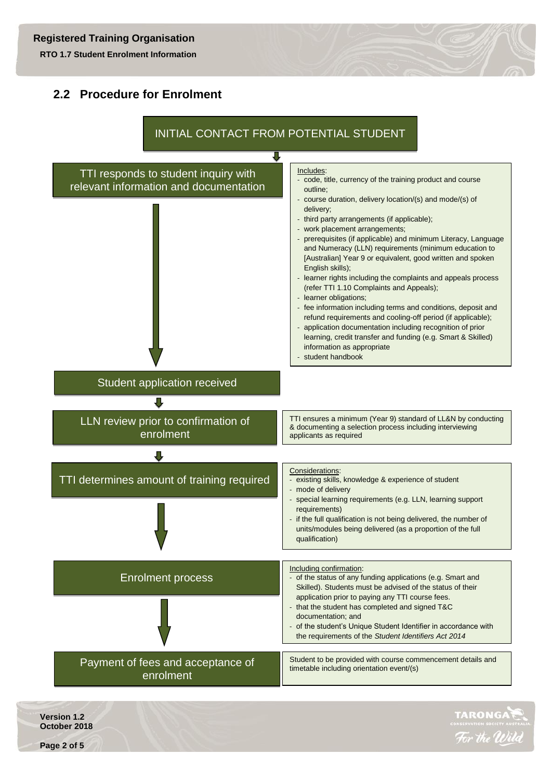**RTO 1.7 Student Enrolment Information** 

### **2.2 Procedure for Enrolment**



**Version 1.2 October 2018**



**Page 2 of 5**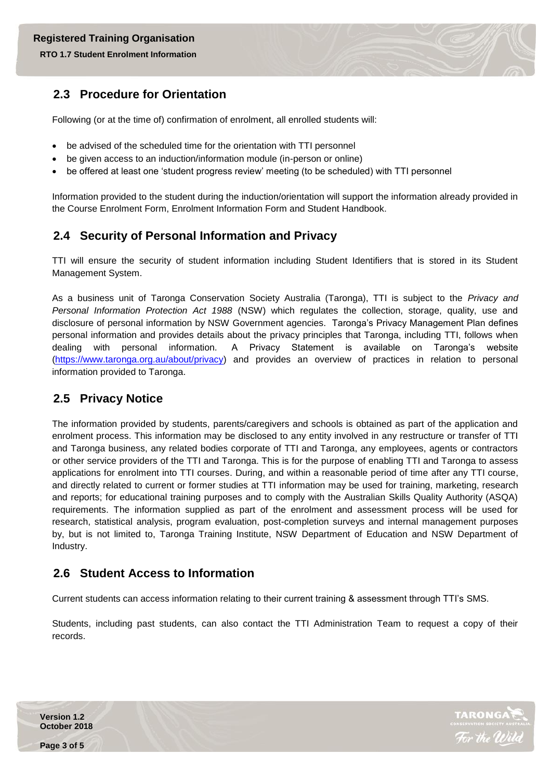#### **RTO 1.7 Student Enrolment Information**

#### **2.3 Procedure for Orientation**

Following (or at the time of) confirmation of enrolment, all enrolled students will:

- be advised of the scheduled time for the orientation with TTI personnel
- be given access to an induction/information module (in-person or online)
- be offered at least one 'student progress review' meeting (to be scheduled) with TTI personnel

Information provided to the student during the induction/orientation will support the information already provided in the Course Enrolment Form, Enrolment Information Form and Student Handbook.

### **2.4 Security of Personal Information and Privacy**

TTI will ensure the security of student information including Student Identifiers that is stored in its Student Management System.

As a business unit of Taronga Conservation Society Australia (Taronga), TTI is subject to the *Privacy and Personal Information Protection Act 1988* (NSW) which regulates the collection, storage, quality, use and disclosure of personal information by NSW Government agencies. Taronga's Privacy Management Plan defines personal information and provides details about the privacy principles that Taronga, including TTI, follows when dealing with personal information. A Privacy Statement is available on Taronga's website [\(https://www.taronga.org.au/about/privacy\)](https://www.taronga.org.au/about/privacy) and provides an overview of practices in relation to personal information provided to Taronga.

### **2.5 Privacy Notice**

The information provided by students, parents/caregivers and schools is obtained as part of the application and enrolment process. This information may be disclosed to any entity involved in any restructure or transfer of TTI and Taronga business, any related bodies corporate of TTI and Taronga, any employees, agents or contractors or other service providers of the TTI and Taronga. This is for the purpose of enabling TTI and Taronga to assess applications for enrolment into TTI courses. During, and within a reasonable period of time after any TTI course, and directly related to current or former studies at TTI information may be used for training, marketing, research and reports; for educational training purposes and to comply with the Australian Skills Quality Authority (ASQA) requirements. The information supplied as part of the enrolment and assessment process will be used for research, statistical analysis, program evaluation, post-completion surveys and internal management purposes by, but is not limited to, Taronga Training Institute, NSW Department of Education and NSW Department of Industry.

### **2.6 Student Access to Information**

Current students can access information relating to their current training & assessment through TTI's SMS.

Students, including past students, can also contact the TTI Administration Team to request a copy of their records.

**Version 1.2 October 2018**





**Page 3 of 5**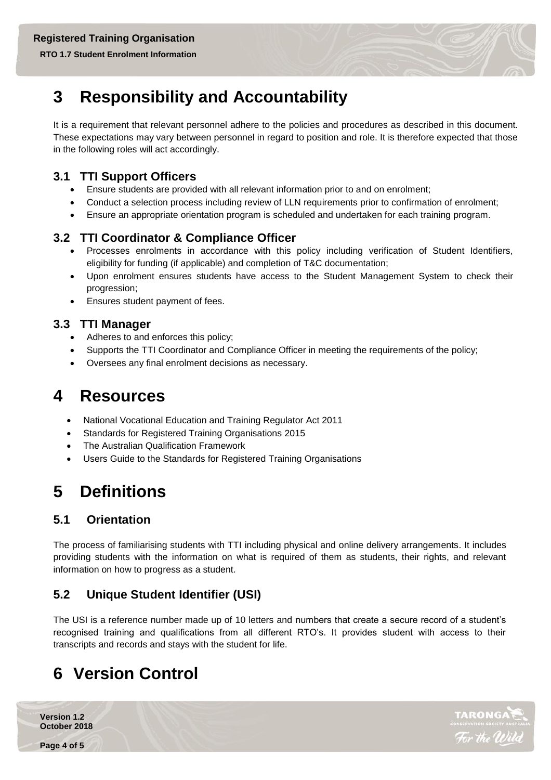**RTO 1.7 Student Enrolment Information** 

## **3 Responsibility and Accountability**

It is a requirement that relevant personnel adhere to the policies and procedures as described in this document. These expectations may vary between personnel in regard to position and role. It is therefore expected that those in the following roles will act accordingly.

#### **3.1 TTI Support Officers**

- Ensure students are provided with all relevant information prior to and on enrolment;
- Conduct a selection process including review of LLN requirements prior to confirmation of enrolment;
- Ensure an appropriate orientation program is scheduled and undertaken for each training program.

### **3.2 TTI Coordinator & Compliance Officer**

- Processes enrolments in accordance with this policy including verification of Student Identifiers, eligibility for funding (if applicable) and completion of T&C documentation;
- Upon enrolment ensures students have access to the Student Management System to check their progression;
- Ensures student payment of fees.

#### **3.3 TTI Manager**

- Adheres to and enforces this policy;
- Supports the TTI Coordinator and Compliance Officer in meeting the requirements of the policy;
- Oversees any final enrolment decisions as necessary.

## **4 Resources**

- National Vocational Education and Training Regulator Act 2011
- Standards for Registered Training Organisations 2015
- The Australian Qualification Framework
- Users Guide to the Standards for Registered Training Organisations

## **5 Definitions**

## **5.1 Orientation**

The process of familiarising students with TTI including physical and online delivery arrangements. It includes providing students with the information on what is required of them as students, their rights, and relevant information on how to progress as a student.

## **5.2 Unique Student Identifier (USI)**

The USI is a reference number made up of 10 letters and numbers that create a secure record of a student's recognised training and qualifications from all different RTO's. It provides student with access to their transcripts and records and stays with the student for life.

## **6 Version Control**

**Version 1.2 October 2018**

**Page 4 of 5**



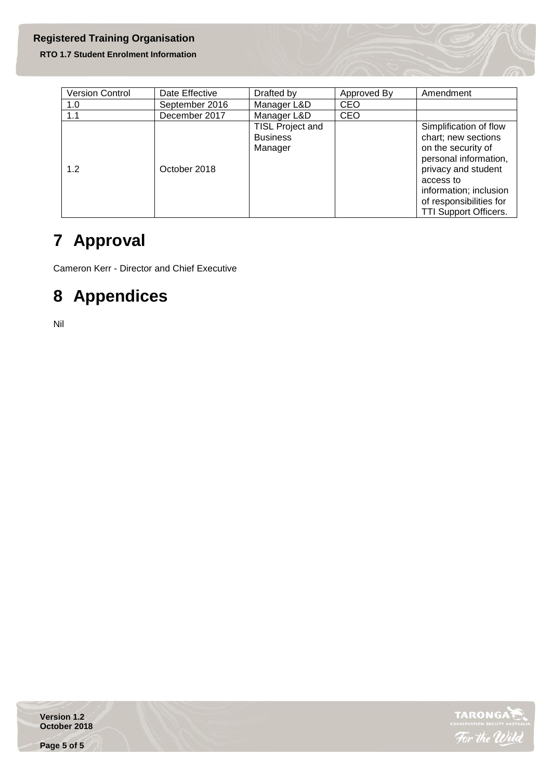#### **Registered Training Organisation**

#### **RTO 1.7 Student Enrolment Information**

| <b>Version Control</b> | Date Effective | Drafted by                                     | Approved By | Amendment                                                                                                                                                                                                             |
|------------------------|----------------|------------------------------------------------|-------------|-----------------------------------------------------------------------------------------------------------------------------------------------------------------------------------------------------------------------|
| 1.0                    | September 2016 | Manager L&D                                    | <b>CEO</b>  |                                                                                                                                                                                                                       |
| 1.1                    | December 2017  | Manager L&D                                    | <b>CEO</b>  |                                                                                                                                                                                                                       |
| 1.2                    | October 2018   | TISL Project and<br><b>Business</b><br>Manager |             | Simplification of flow<br>chart; new sections<br>on the security of<br>personal information,<br>privacy and student<br>access to<br>information; inclusion<br>of responsibilities for<br><b>TTI Support Officers.</b> |

## **7 Approval**

Cameron Kerr - Director and Chief Executive

## **8 Appendices**

Nil

**Version 1.2 October 2018**



**Page 5 of 5**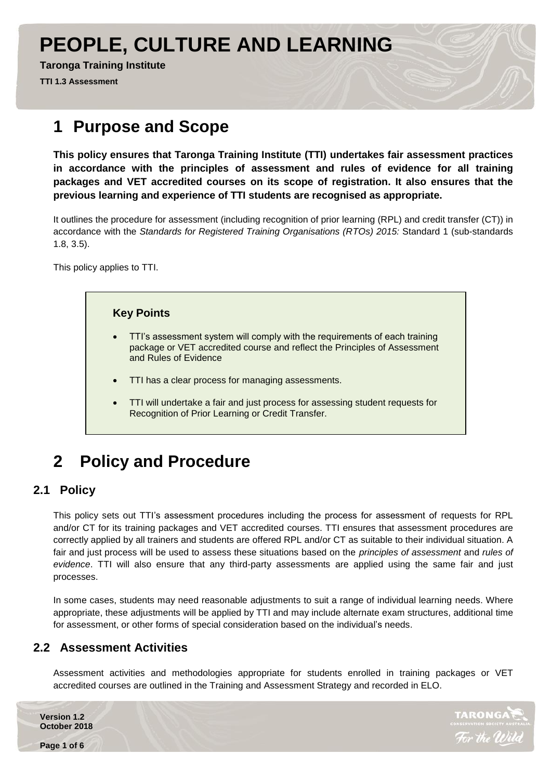# **PEOPLE, CULTURE AND LEARNING**

**Taronga Training Institute**

**TTI 1.3 Assessment**

## **1 Purpose and Scope**

**This policy ensures that Taronga Training Institute (TTI) undertakes fair assessment practices in accordance with the principles of assessment and rules of evidence for all training packages and VET accredited courses on its scope of registration. It also ensures that the previous learning and experience of TTI students are recognised as appropriate.**

It outlines the procedure for assessment (including recognition of prior learning (RPL) and credit transfer (CT)) in accordance with the *Standards for Registered Training Organisations (RTOs) 2015:* Standard 1 (sub-standards 1.8, 3.5).

This policy applies to TTI.



## **2 Policy and Procedure**

### **2.1 Policy**

This policy sets out TTI's assessment procedures including the process for assessment of requests for RPL and/or CT for its training packages and VET accredited courses. TTI ensures that assessment procedures are correctly applied by all trainers and students are offered RPL and/or CT as suitable to their individual situation. A fair and just process will be used to assess these situations based on the *principles of assessment* and *rules of evidence*. TTI will also ensure that any third-party assessments are applied using the same fair and just processes.

In some cases, students may need reasonable adjustments to suit a range of individual learning needs. Where appropriate, these adjustments will be applied by TTI and may include alternate exam structures, additional time for assessment, or other forms of special consideration based on the individual's needs.

#### **2.2 Assessment Activities**

Assessment activities and methodologies appropriate for students enrolled in training packages or VET accredited courses are outlined in the Training and Assessment Strategy and recorded in ELO.

**Version 1.2 October 2018**

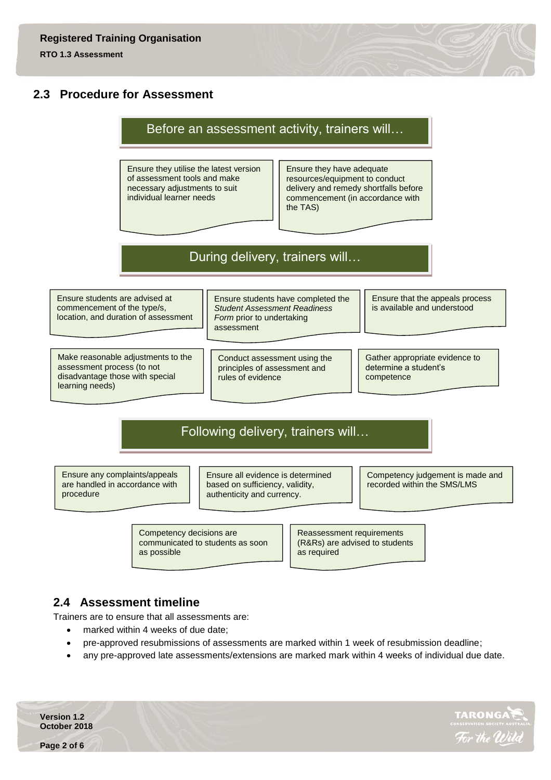#### **2.3 Procedure for Assessment**

### Before an assessment activity, trainers will…

Ensure they utilise the latest version of assessment tools and make necessary adjustments to suit individual learner needs

Ensure they have adequate resources/equipment to conduct delivery and remedy shortfalls before commencement (in accordance with the TAS)

## During delivery, trainers will…

Ensure students are advised at commencement of the type/s, location, and duration of assessment

Make reasonable adjustments to the assessment process (to not disadvantage those with special learning needs)

Ensure students have completed the *Student Assessment Readiness Form* prior to undertaking assessment

Conduct assessment using the principles of assessment and rules of evidence

Ensure that the appeals process is available and understood

Gather appropriate evidence to determine a student's competence

## Following delivery, trainers will…

Ensure any complaints/appeals are handled in accordance with procedure

Ensure all evidence is determined based on sufficiency, validity, authenticity and currency.

Competency judgement is made and recorded within the SMS/LMS

Competency decisions are communicated to students as soon as possible

Reassessment requirements (R&Rs) are advised to students as required

#### **2.4 Assessment timeline**

Trainers are to ensure that all assessments are:

- marked within 4 weeks of due date;
- pre-approved resubmissions of assessments are marked within 1 week of resubmission deadline;
- any pre-approved late assessments/extensions are marked mark within 4 weeks of individual due date.

**Version 1.2 October 2018**

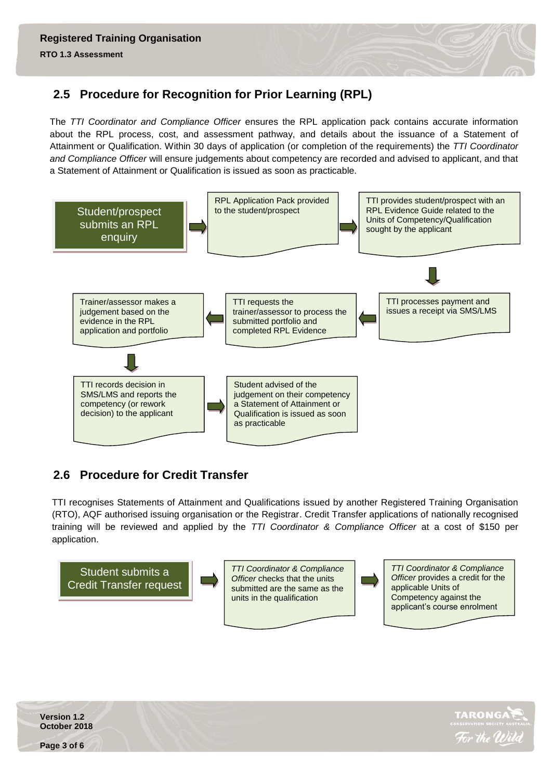## **2.5 Procedure for Recognition for Prior Learning (RPL)**

The *TTI Coordinator and Compliance Officer* ensures the RPL application pack contains accurate information about the RPL process, cost, and assessment pathway, and details about the issuance of a Statement of Attainment or Qualification. Within 30 days of application (or completion of the requirements) the *TTI Coordinator and Compliance Officer* will ensure judgements about competency are recorded and advised to applicant, and that a Statement of Attainment or Qualification is issued as soon as practicable.



## **2.6 Procedure for Credit Transfer**

TTI recognises Statements of Attainment and Qualifications issued by another Registered Training Organisation (RTO), AQF authorised issuing organisation or the Registrar. Credit Transfer applications of nationally recognised training will be reviewed and applied by the *TTI Coordinator & Compliance Officer* at a cost of \$150 per application.



**TARONG** 

**Version 1.2 October 2018**

**Page 3 of 6**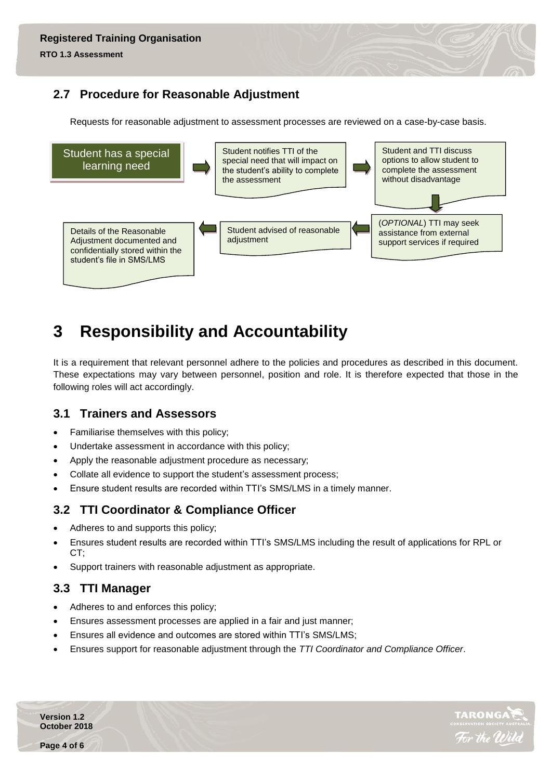## **2.7 Procedure for Reasonable Adjustment**

Requests for reasonable adjustment to assessment processes are reviewed on a case-by-case basis.



## **3 Responsibility and Accountability**

It is a requirement that relevant personnel adhere to the policies and procedures as described in this document. These expectations may vary between personnel, position and role. It is therefore expected that those in the following roles will act accordingly.

### **3.1 Trainers and Assessors**

- Familiarise themselves with this policy;
- Undertake assessment in accordance with this policy;
- Apply the reasonable adjustment procedure as necessary;
- Collate all evidence to support the student's assessment process;
- Ensure student results are recorded within TTI's SMS/LMS in a timely manner.

### **3.2 TTI Coordinator & Compliance Officer**

- Adheres to and supports this policy;
- Ensures student results are recorded within TTI's SMS/LMS including the result of applications for RPL or CT;
- Support trainers with reasonable adjustment as appropriate.

### **3.3 TTI Manager**

- Adheres to and enforces this policy;
- Ensures assessment processes are applied in a fair and just manner;
- Ensures all evidence and outcomes are stored within TTI's SMS/LMS;
- Ensures support for reasonable adjustment through the *TTI Coordinator and Compliance Officer*.

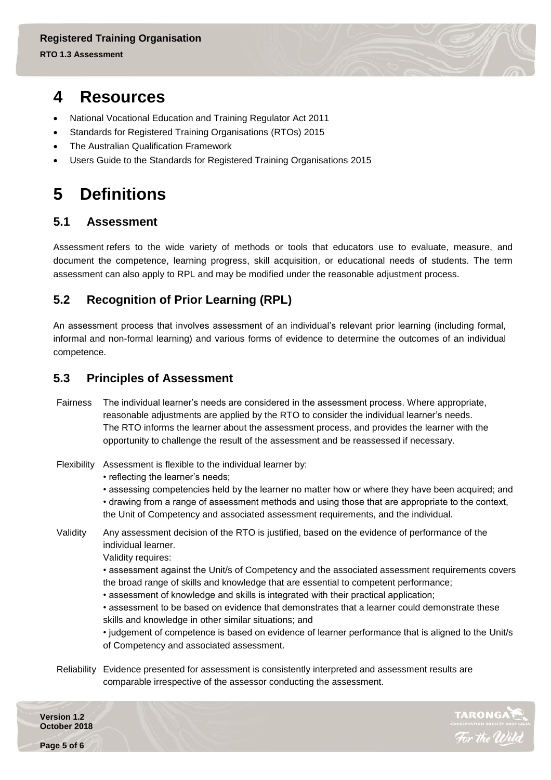## **4 Resources**

- National Vocational Education and Training Regulator Act 2011
- Standards for Registered Training Organisations (RTOs) 2015
- The Australian Qualification Framework
- Users Guide to the Standards for Registered Training Organisations 2015

## **5 Definitions**

#### **5.1 Assessment**

Assessment refers to the wide variety of methods or tools that educators use to evaluate, measure, and document the competence, learning progress, skill acquisition, or educational needs of students. The term assessment can also apply to RPL and may be modified under the reasonable adjustment process.

## **5.2 Recognition of Prior Learning (RPL)**

An assessment process that involves assessment of an individual's relevant prior learning (including formal, informal and non-formal learning) and various forms of evidence to determine the outcomes of an individual competence.

#### **5.3 Principles of Assessment**

- Fairness The individual learner's needs are considered in the assessment process. Where appropriate, reasonable adjustments are applied by the RTO to consider the individual learner's needs. The RTO informs the learner about the assessment process, and provides the learner with the opportunity to challenge the result of the assessment and be reassessed if necessary.
- Flexibility Assessment is flexible to the individual learner by:
	- reflecting the learner's needs;

• assessing competencies held by the learner no matter how or where they have been acquired; and • drawing from a range of assessment methods and using those that are appropriate to the context, the Unit of Competency and associated assessment requirements, and the individual.

Validity Any assessment decision of the RTO is justified, based on the evidence of performance of the individual learner.

Validity requires:

- assessment against the Unit/s of Competency and the associated assessment requirements covers the broad range of skills and knowledge that are essential to competent performance;
- assessment of knowledge and skills is integrated with their practical application;

• assessment to be based on evidence that demonstrates that a learner could demonstrate these skills and knowledge in other similar situations; and

• judgement of competence is based on evidence of learner performance that is aligned to the Unit/s of Competency and associated assessment.

Reliability Evidence presented for assessment is consistently interpreted and assessment results are comparable irrespective of the assessor conducting the assessment.

**Version 1.2 October 2018**

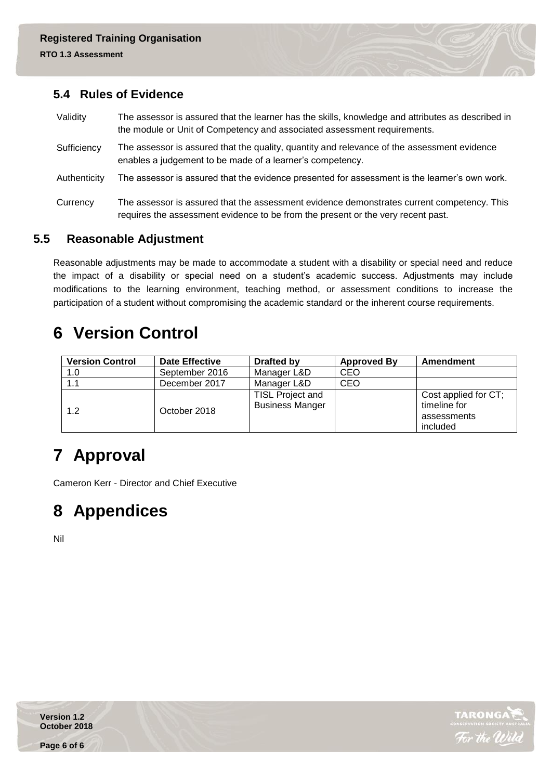#### **5.4 Rules of Evidence**

Validity The assessor is assured that the learner has the skills, knowledge and attributes as described in the module or Unit of Competency and associated assessment requirements. Sufficiency The assessor is assured that the quality, quantity and relevance of the assessment evidence enables a judgement to be made of a learner's competency. Authenticity The assessor is assured that the evidence presented for assessment is the learner's own work. Currency The assessor is assured that the assessment evidence demonstrates current competency. This requires the assessment evidence to be from the present or the very recent past.

### **5.5 Reasonable Adjustment**

Reasonable adjustments may be made to accommodate a student with a disability or special need and reduce the impact of a disability or special need on a student's academic success. Adjustments may include modifications to the learning environment, teaching method, or assessment conditions to increase the participation of a student without compromising the academic standard or the inherent course requirements.

## **6 Version Control**

| <b>Version Control</b> | <b>Date Effective</b> | Drafted by                                 | <b>Approved By</b> | Amendment                                                       |
|------------------------|-----------------------|--------------------------------------------|--------------------|-----------------------------------------------------------------|
| 1.0                    | September 2016        | Manager L&D                                | <b>CEO</b>         |                                                                 |
| 1.1                    | December 2017         | Manager L&D                                | <b>CEO</b>         |                                                                 |
| 1.2                    | October 2018          | TISL Project and<br><b>Business Manger</b> |                    | Cost applied for CT;<br>timeline for<br>assessments<br>included |

## **7 Approval**

Cameron Kerr - Director and Chief Executive

## **8 Appendices**

Nil



**Version 1.2 October 2018**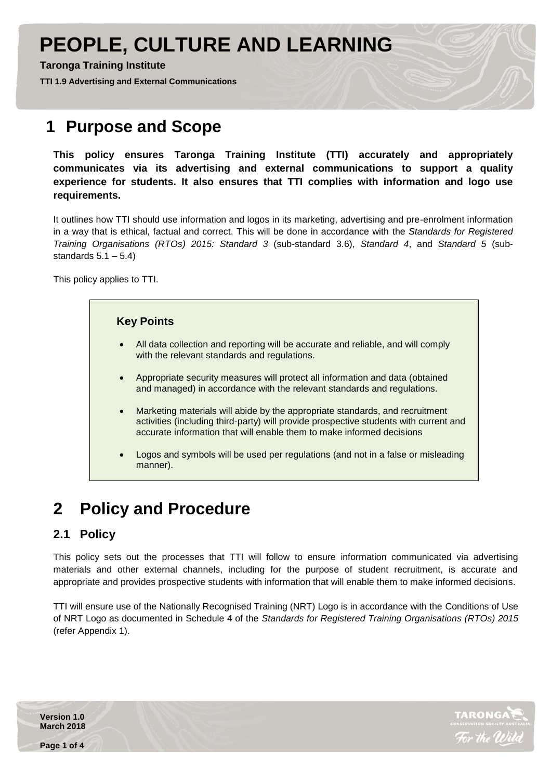# **PEOPLE, CULTURE AND LEARNING**

**Taronga Training Institute**

**TTI 1.9 Advertising and External Communications** 

## **1 Purpose and Scope**

**This policy ensures Taronga Training Institute (TTI) accurately and appropriately communicates via its advertising and external communications to support a quality experience for students. It also ensures that TTI complies with information and logo use requirements.**

It outlines how TTI should use information and logos in its marketing, advertising and pre-enrolment information in a way that is ethical, factual and correct. This will be done in accordance with the *Standards for Registered Training Organisations (RTOs) 2015: Standard 3* (sub-standard 3.6), *Standard 4*, and *Standard 5* (substandards  $5.1 - 5.4$ )

This policy applies to TTI.



## **2 Policy and Procedure**

## **2.1 Policy**

This policy sets out the processes that TTI will follow to ensure information communicated via advertising materials and other external channels, including for the purpose of student recruitment, is accurate and appropriate and provides prospective students with information that will enable them to make informed decisions.

TTI will ensure use of the Nationally Recognised Training (NRT) Logo is in accordance with the Conditions of Use of NRT Logo as documented in Schedule 4 of the *Standards for Registered Training Organisations (RTOs) 2015*  (refer Appendix 1).

**Version 1.0 March 2018**



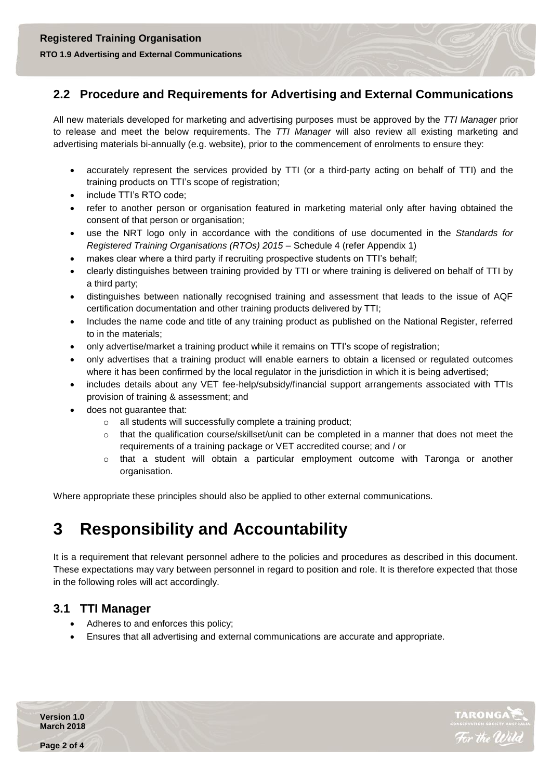**RTO 1.9 Advertising and External Communications** 

#### **2.2 Procedure and Requirements for Advertising and External Communications**

All new materials developed for marketing and advertising purposes must be approved by the *TTI Manager* prior to release and meet the below requirements. The *TTI Manager* will also review all existing marketing and advertising materials bi-annually (e.g. website), prior to the commencement of enrolments to ensure they:

- accurately represent the services provided by TTI (or a third-party acting on behalf of TTI) and the training products on TTI's scope of registration;
- include TTI's RTO code;
- refer to another person or organisation featured in marketing material only after having obtained the consent of that person or organisation;
- use the NRT logo only in accordance with the conditions of use documented in the *Standards for Registered Training Organisations (RTOs) 2015* – Schedule 4 (refer Appendix 1)
- makes clear where a third party if recruiting prospective students on TTI's behalf;
- clearly distinguishes between training provided by TTI or where training is delivered on behalf of TTI by a third party;
- distinguishes between nationally recognised training and assessment that leads to the issue of AQF certification documentation and other training products delivered by TTI;
- Includes the name code and title of any training product as published on the National Register, referred to in the materials;
- only advertise/market a training product while it remains on TTI's scope of registration;
- only advertises that a training product will enable earners to obtain a licensed or regulated outcomes where it has been confirmed by the local regulator in the jurisdiction in which it is being advertised;
- includes details about any VET fee-help/subsidy/financial support arrangements associated with TTIs provision of training & assessment; and
- does not guarantee that:
	- o all students will successfully complete a training product;
	- $\circ$  that the qualification course/skillset/unit can be completed in a manner that does not meet the requirements of a training package or VET accredited course; and / or
	- o that a student will obtain a particular employment outcome with Taronga or another organisation.

Where appropriate these principles should also be applied to other external communications.

## **3 Responsibility and Accountability**

It is a requirement that relevant personnel adhere to the policies and procedures as described in this document. These expectations may vary between personnel in regard to position and role. It is therefore expected that those in the following roles will act accordingly.

#### **3.1 TTI Manager**

- Adheres to and enforces this policy;
- Ensures that all advertising and external communications are accurate and appropriate.



**Version 1.0 March 2018**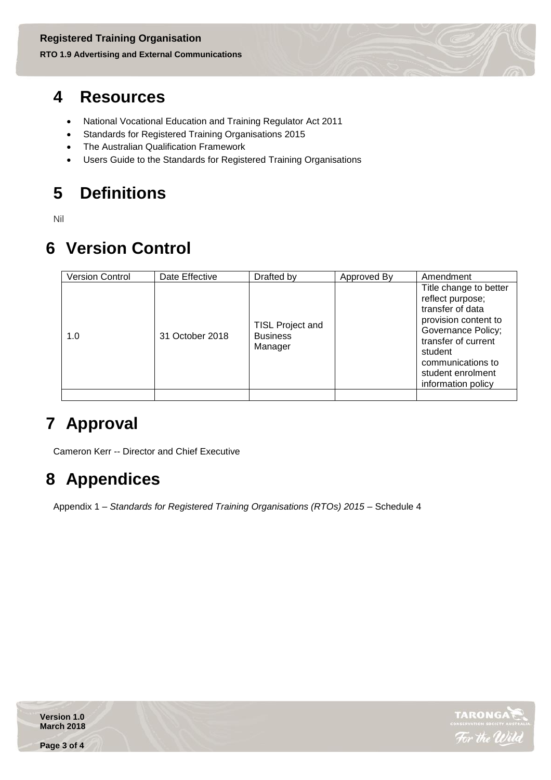### **RTO 1.9 Advertising and External Communications**

## **4 Resources**

- National Vocational Education and Training Regulator Act 2011
- Standards for Registered Training Organisations 2015
- The Australian Qualification Framework
- Users Guide to the Standards for Registered Training Organisations

# **5 Definitions**

Nil

## **6 Version Control**

| <b>Version Control</b> | Date Effective  | Drafted by                                            | Approved By | Amendment                                                                                                                                                                                                      |
|------------------------|-----------------|-------------------------------------------------------|-------------|----------------------------------------------------------------------------------------------------------------------------------------------------------------------------------------------------------------|
| 1.0                    | 31 October 2018 | <b>TISL Project and</b><br><b>Business</b><br>Manager |             | Title change to better<br>reflect purpose;<br>transfer of data<br>provision content to<br>Governance Policy;<br>transfer of current<br>student<br>communications to<br>student enrolment<br>information policy |
|                        |                 |                                                       |             |                                                                                                                                                                                                                |

## **7 Approval**

Cameron Kerr -- Director and Chief Executive

## **8 Appendices**

Appendix 1 – *Standards for Registered Training Organisations (RTOs) 2015 –* Schedule 4



**Version 1.0 March 2018**

**Page 3 of 4**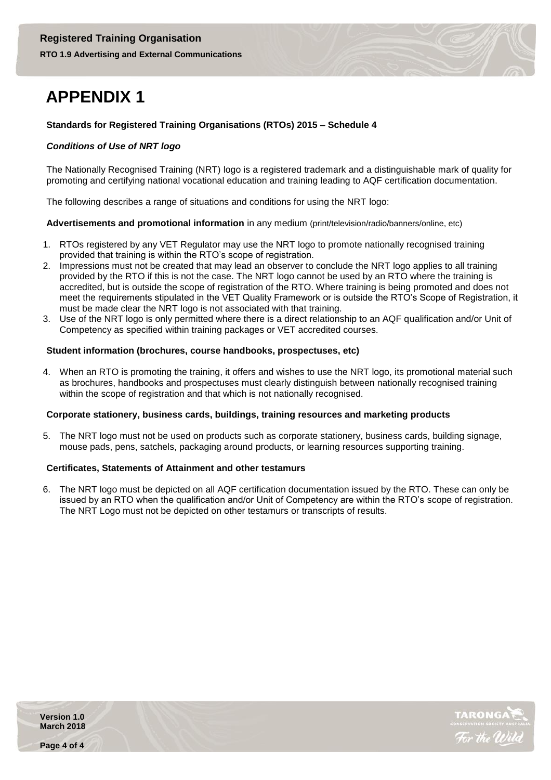## **APPENDIX 1**

#### **Standards for Registered Training Organisations (RTOs) 2015 – Schedule 4**

#### *Conditions of Use of NRT logo*

The Nationally Recognised Training (NRT) logo is a registered trademark and a distinguishable mark of quality for promoting and certifying national vocational education and training leading to AQF certification documentation.

The following describes a range of situations and conditions for using the NRT logo:

#### **Advertisements and promotional information** in any medium (print/television/radio/banners/online, etc)

- 1. RTOs registered by any VET Regulator may use the NRT logo to promote nationally recognised training provided that training is within the RTO's scope of registration.
- 2. Impressions must not be created that may lead an observer to conclude the NRT logo applies to all training provided by the RTO if this is not the case. The NRT logo cannot be used by an RTO where the training is accredited, but is outside the scope of registration of the RTO. Where training is being promoted and does not meet the requirements stipulated in the VET Quality Framework or is outside the RTO's Scope of Registration, it must be made clear the NRT logo is not associated with that training.
- 3. Use of the NRT logo is only permitted where there is a direct relationship to an AQF qualification and/or Unit of Competency as specified within training packages or VET accredited courses.

#### **Student information (brochures, course handbooks, prospectuses, etc)**

4. When an RTO is promoting the training, it offers and wishes to use the NRT logo, its promotional material such as brochures, handbooks and prospectuses must clearly distinguish between nationally recognised training within the scope of registration and that which is not nationally recognised.

#### **Corporate stationery, business cards, buildings, training resources and marketing products**

5. The NRT logo must not be used on products such as corporate stationery, business cards, building signage, mouse pads, pens, satchels, packaging around products, or learning resources supporting training.

#### **Certificates, Statements of Attainment and other testamurs**

6. The NRT logo must be depicted on all AQF certification documentation issued by the RTO. These can only be issued by an RTO when the qualification and/or Unit of Competency are within the RTO's scope of registration. The NRT Logo must not be depicted on other testamurs or transcripts of results.



**Version 1.0 March 2018**

**Page 4 of 4**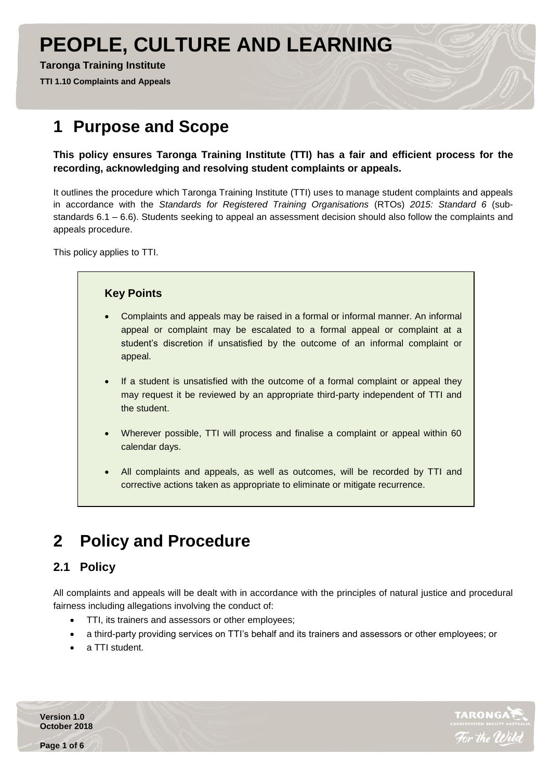# **PEOPLE, CULTURE AND LEARNING**

#### **Taronga Training Institute**

**TTI 1.10 Complaints and Appeals** 

## **1 Purpose and Scope**

**This policy ensures Taronga Training Institute (TTI) has a fair and efficient process for the recording, acknowledging and resolving student complaints or appeals.**

It outlines the procedure which Taronga Training Institute (TTI) uses to manage student complaints and appeals in accordance with the *Standards for Registered Training Organisations* (RTOs) *2015: Standard 6* (substandards 6.1 – 6.6). Students seeking to appeal an assessment decision should also follow the complaints and appeals procedure.

This policy applies to TTI.

#### **Key Points**

- Complaints and appeals may be raised in a formal or informal manner. An informal appeal or complaint may be escalated to a formal appeal or complaint at a student's discretion if unsatisfied by the outcome of an informal complaint or appeal.
- If a student is unsatisfied with the outcome of a formal complaint or appeal they may request it be reviewed by an appropriate third-party independent of TTI and the student.
- Wherever possible, TTI will process and finalise a complaint or appeal within 60 calendar days.
- All complaints and appeals, as well as outcomes, will be recorded by TTI and corrective actions taken as appropriate to eliminate or mitigate recurrence.

## **2 Policy and Procedure**

### **2.1 Policy**

All complaints and appeals will be dealt with in accordance with the principles of natural justice and procedural fairness including allegations involving the conduct of:

- TTI, its trainers and assessors or other employees;
- a third-party providing services on TTI's behalf and its trainers and assessors or other employees; or
- a TTI student.

**TARONG** 

**Version 1.0 October 2018**

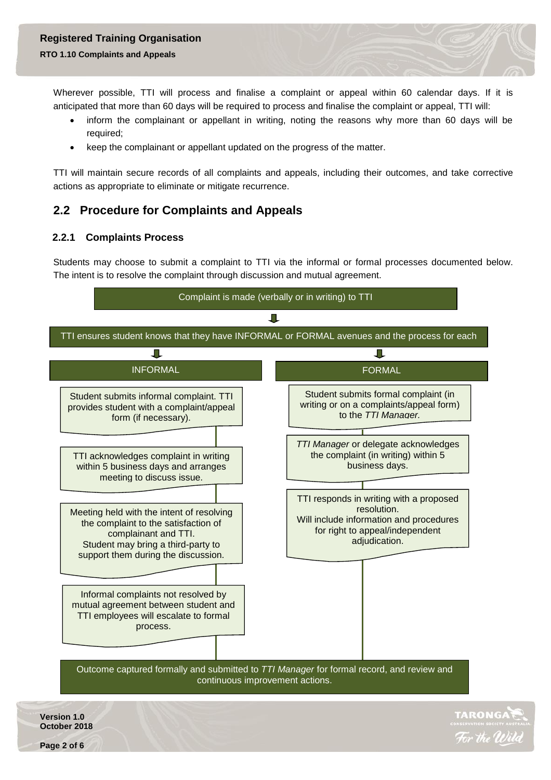#### **RTO 1.10 Complaints and Appeals**

Wherever possible, TTI will process and finalise a complaint or appeal within 60 calendar days. If it is anticipated that more than 60 days will be required to process and finalise the complaint or appeal, TTI will:

- inform the complainant or appellant in writing, noting the reasons why more than 60 days will be required;
- keep the complainant or appellant updated on the progress of the matter.

TTI will maintain secure records of all complaints and appeals, including their outcomes, and take corrective actions as appropriate to eliminate or mitigate recurrence.

#### **2.2 Procedure for Complaints and Appeals**

#### **2.2.1 Complaints Process**

Students may choose to submit a complaint to TTI via the informal or formal processes documented below. The intent is to resolve the complaint through discussion and mutual agreement.



**Page 2 of 6**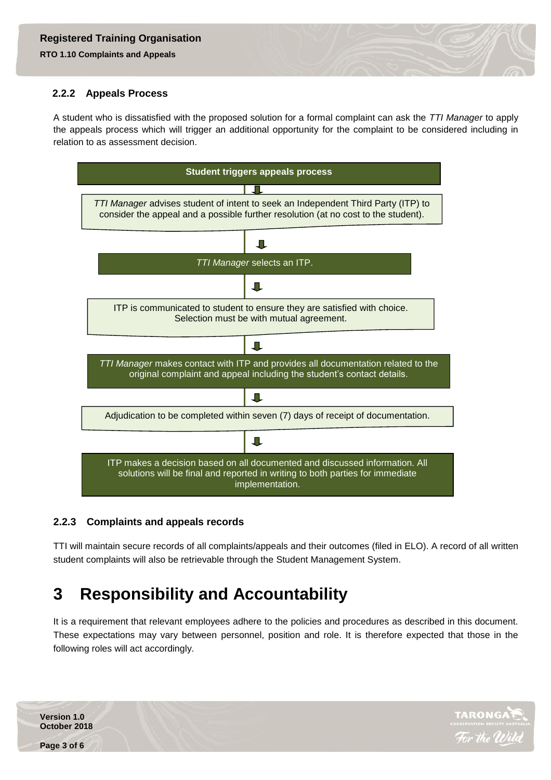**RTO 1.10 Complaints and Appeals** 

#### **2.2.2 Appeals Process**

A student who is dissatisfied with the proposed solution for a formal complaint can ask the *TTI Manager* to apply the appeals process which will trigger an additional opportunity for the complaint to be considered including in relation to as assessment decision.



#### **2.2.3 Complaints and appeals records**

TTI will maintain secure records of all complaints/appeals and their outcomes (filed in ELO). A record of all written student complaints will also be retrievable through the Student Management System.

## **3 Responsibility and Accountability**

It is a requirement that relevant employees adhere to the policies and procedures as described in this document. These expectations may vary between personnel, position and role. It is therefore expected that those in the following roles will act accordingly.



**Version 1.0 October 2018**

**Page 3 of 6**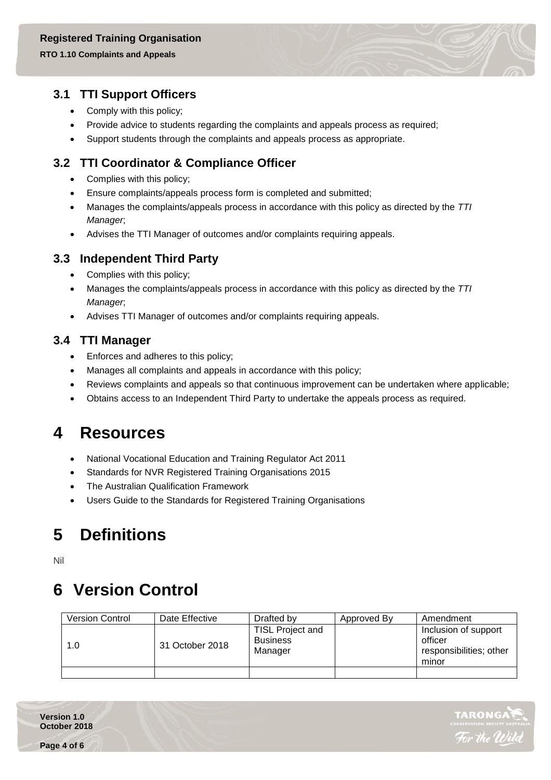#### **RTO 1.10 Complaints and Appeals**

#### **3.1 TTI Support Officers**

- Comply with this policy;
- Provide advice to students regarding the complaints and appeals process as required;
- Support students through the complaints and appeals process as appropriate.

### **3.2 TTI Coordinator & Compliance Officer**

- Complies with this policy;
- Ensure complaints/appeals process form is completed and submitted;
- Manages the complaints/appeals process in accordance with this policy as directed by the *TTI Manager*;
- Advises the TTI Manager of outcomes and/or complaints requiring appeals.

#### **3.3 Independent Third Party**

- Complies with this policy;
- Manages the complaints/appeals process in accordance with this policy as directed by the *TTI Manager*;
- Advises TTI Manager of outcomes and/or complaints requiring appeals.

#### **3.4 TTI Manager**

- Enforces and adheres to this policy;
- Manages all complaints and appeals in accordance with this policy;
- Reviews complaints and appeals so that continuous improvement can be undertaken where applicable;
- Obtains access to an Independent Third Party to undertake the appeals process as required.

## **4 Resources**

- National Vocational Education and Training Regulator Act 2011
- Standards for NVR Registered Training Organisations 2015
- The Australian Qualification Framework
- Users Guide to the Standards for Registered Training Organisations

## **5 Definitions**

Nil

## **6 Version Control**

| <b>Version Control</b> | Date Effective  | Drafted by                                     | Approved By | Amendment                                                           |
|------------------------|-----------------|------------------------------------------------|-------------|---------------------------------------------------------------------|
| 1.0                    | 31 October 2018 | TISL Project and<br><b>Business</b><br>Manager |             | Inclusion of support<br>officer<br>responsibilities; other<br>minor |
|                        |                 |                                                |             |                                                                     |



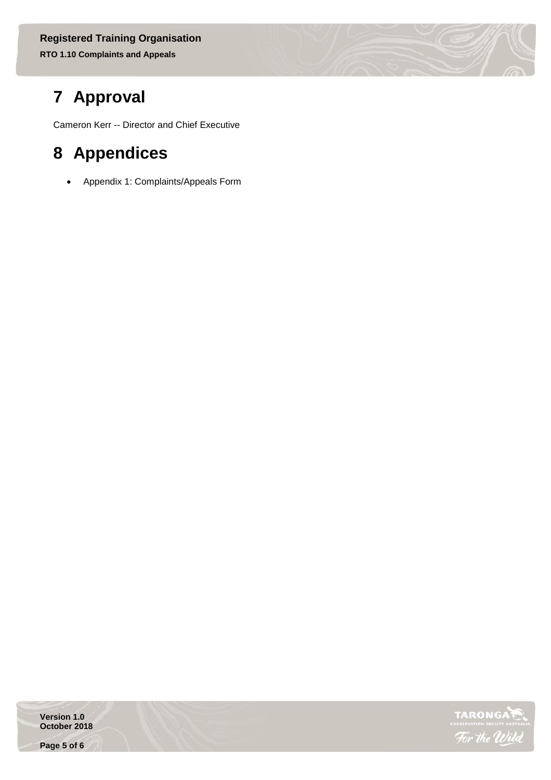## **7 Approval**

Cameron Kerr -- Director and Chief Executive

## **8 Appendices**

Appendix 1: Complaints/Appeals Form

**Version 1.0 October 2018**

**Page 5 of 6**